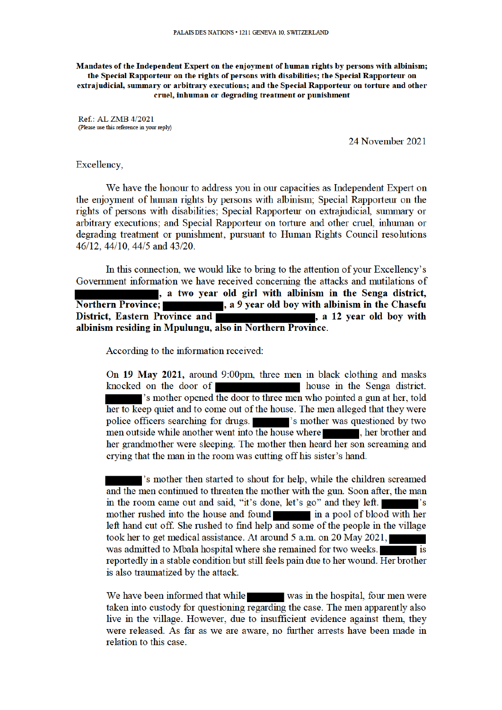Mandates of the Independent Expert on the enjoyment of human rights by persons with albinism; the Special Rapporteur on the rights of persons with disabilities; the Special Rapporteur on extrajudicial, summary or arbitrary executions; and the Special Rapporteur on torture and other cruel, inhuman or degrading treatment or punishment

Ref.: AL ZMB 4/2021 (Please use this reference in your reply)

24 November 2021

## Excellency,

We have the honour to address you in our capacities as Independent Expert on the enjoyment of human rights by persons with albinism. Special Rapporteur on the rights of persons with disabilities: Special Rapporteur on extrajudicial, summary or arbitrary executions; and Special Rapporteur on torture and other cruel, inhuman or degrading treatment or punishment, pursuant to Human Rights Council resolutions 46/12, 44/10, 44/5 and 43/20.

In this connection, we would like to bring to the attention of your Excellency's Government information we have received concerning the attacks and mutilations of a two year old girl with albinism in the Senga district, **Northern Province;** , a 9 year old boy with albinism in the Chasefu District, Eastern Province and a 12 year old boy with albinism residing in Mpulungu, also in Northern Province.

According to the information received:

On 19 May 2021, around 9:00pm, three men in black clothing and masks knocked on the door of house in the Senga district. s mother opened the door to three men who pointed a gun at her, told her to keep quiet and to come out of the house. The men alleged that they were police officers searching for drugs. The set of searching is mother was questioned by two men outside while another went into the house where **the set of the set of the set of the set of the set of the set of the set of the set of the set of the set of the set of the set of the set of the set of the set of the** her grandmother were sleeping. The mother then heard her son screaming and crying that the man in the room was cutting off his sister's hand.

's mother then started to shout for help, while the children screamed and the men continued to threaten the mother with the gun. Soon after, the man in the room came out and said, "it's done, let's go" and they left. mother rushed into the house and found in a pool of blood with her left hand cut off. She rushed to find help and some of the people in the village took her to get medical assistance. At around 5 a.m. on 20 May 2021, was admitted to Mbala hospital where she remained for two weeks. **is** reportedly in a stable condition but still feels pain due to her wound. Her brother is also traumatized by the attack.

We have been informed that while was in the hospital, four men were taken into custody for questioning regarding the case. The men apparently also live in the village. However, due to insufficient evidence against them, they were released. As far as we are aware, no further arrests have been made in relation to this case.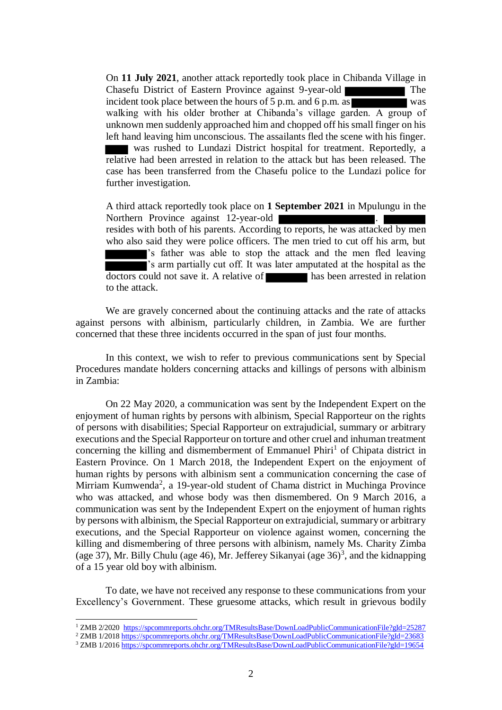On **11 July 2021**, another attack reportedly took place in Chibanda Village in Chasefu District of Eastern Province against 9-year-old The incident took place between the hours of 5 p.m. and 6 p.m. as was walking with his older brother at Chibanda's village garden. A group of unknown men suddenly approached him and chopped off his small finger on his left hand leaving him unconscious. The assailants fled the scene with his finger. was rushed to Lundazi District hospital for treatment. Reportedly, a relative had been arrested in relation to the attack but has been released. The case has been transferred from the Chasefu police to the Lundazi police for further investigation.

A third attack reportedly took place on **1 September 2021** in Mpulungu in the Northern Province against 12-year-old . resides with both of his parents. According to reports, he was attacked by men who also said they were police officers. The men tried to cut off his arm, but 's father was able to stop the attack and the men fled leaving s arm partially cut off. It was later amputated at the hospital as the  $\overline{\text{doctors}}$  could not save it. A relative of has been arrested in relation to the attack.

We are gravely concerned about the continuing attacks and the rate of attacks against persons with albinism, particularly children, in Zambia. We are further concerned that these three incidents occurred in the span of just four months.

In this context, we wish to refer to previous communications sent by Special Procedures mandate holders concerning attacks and killings of persons with albinism in Zambia:

On 22 May 2020, a communication was sent by the Independent Expert on the enjoyment of human rights by persons with albinism, Special Rapporteur on the rights of persons with disabilities; Special Rapporteur on extrajudicial, summary or arbitrary executions and the Special Rapporteur on torture and other cruel and inhuman treatment concerning the killing and dismemberment of Emmanuel Phiri<sup>1</sup> of Chipata district in Eastern Province. On 1 March 2018, the Independent Expert on the enjoyment of human rights by persons with albinism sent a communication concerning the case of Mirriam Kumwenda<sup>2</sup>, a 19-year-old student of Chama district in Muchinga Province who was attacked, and whose body was then dismembered. On 9 March 2016, a communication was sent by the Independent Expert on the enjoyment of human rights by persons with albinism, the Special Rapporteur on extrajudicial, summary or arbitrary executions, and the Special Rapporteur on violence against women, concerning the killing and dismembering of three persons with albinism, namely Ms. Charity Zimba (age 37), Mr. Billy Chulu (age 46), Mr. Jefferey Sikanyai (age 36)<sup>3</sup>, and the kidnapping of a 15 year old boy with albinism.

To date, we have not received any response to these communications from your Excellency's Government. These gruesome attacks, which result in grievous bodily

l

<sup>1</sup> ZMB 2/2020 https://spcommreports.ohchr.org/TMResultsBase/DownLoadPublicCommunicationFile?gId=25287

<sup>&</sup>lt;sup>2</sup> ZMB 1/2018 https://spcommreports.ohchr.org/TMResultsBase/DownLoadPublicCommunicationFile?gId=23683

<sup>3</sup> ZMB 1/2016 https://spcommreports.ohchr.org/TMResultsBase/DownLoadPublicCommunicationFile?gId=19654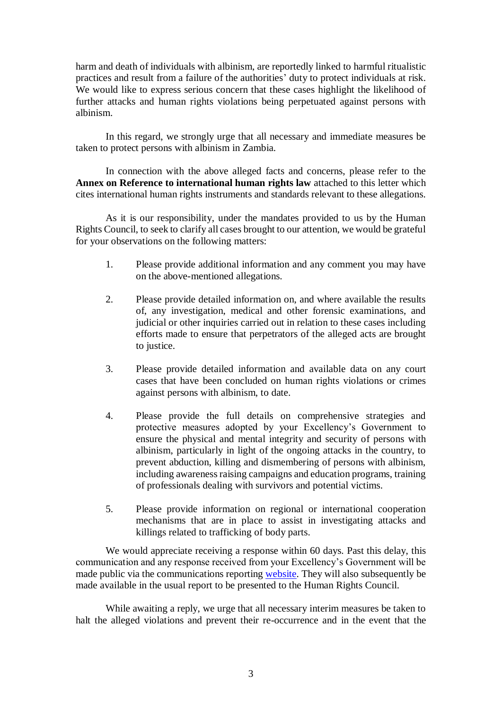harm and death of individuals with albinism, are reportedly linked to harmful ritualistic practices and result from a failure of the authorities' duty to protect individuals at risk. We would like to express serious concern that these cases highlight the likelihood of further attacks and human rights violations being perpetuated against persons with albinism.

In this regard, we strongly urge that all necessary and immediate measures be taken to protect persons with albinism in Zambia.

In connection with the above alleged facts and concerns, please refer to the **Annex on Reference to international human rights law** attached to this letter which cites international human rights instruments and standards relevant to these allegations.

As it is our responsibility, under the mandates provided to us by the Human Rights Council, to seek to clarify all cases brought to our attention, we would be grateful for your observations on the following matters:

- 1. Please provide additional information and any comment you may have on the above-mentioned allegations.
- 2. Please provide detailed information on, and where available the results of, any investigation, medical and other forensic examinations, and judicial or other inquiries carried out in relation to these cases including efforts made to ensure that perpetrators of the alleged acts are brought to justice.
- 3. Please provide detailed information and available data on any court cases that have been concluded on human rights violations or crimes against persons with albinism, to date.
- 4. Please provide the full details on comprehensive strategies and protective measures adopted by your Excellency's Government to ensure the physical and mental integrity and security of persons with albinism, particularly in light of the ongoing attacks in the country, to prevent abduction, killing and dismembering of persons with albinism, including awareness raising campaigns and education programs, training of professionals dealing with survivors and potential victims.
- 5. Please provide information on regional or international cooperation mechanisms that are in place to assist in investigating attacks and killings related to trafficking of body parts.

We would appreciate receiving a response within 60 days. Past this delay, this communication and any response received from your Excellency's Government will be made public via the communications reporting website. They will also subsequently be made available in the usual report to be presented to the Human Rights Council.

While awaiting a reply, we urge that all necessary interim measures be taken to halt the alleged violations and prevent their re-occurrence and in the event that the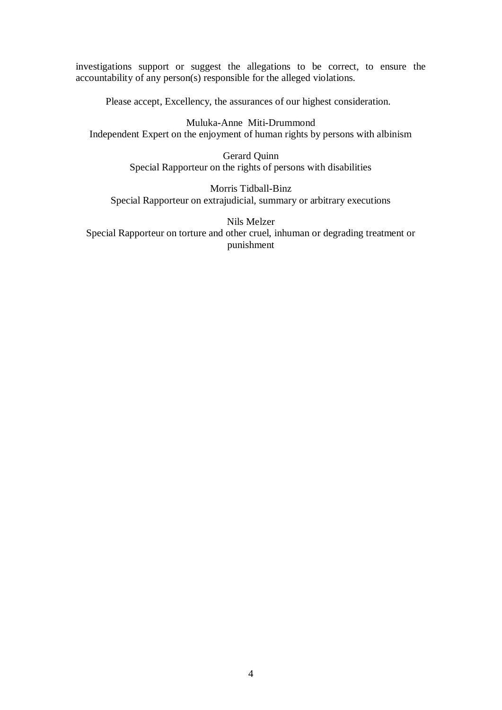investigations support or suggest the allegations to be correct, to ensure the accountability of any person(s) responsible for the alleged violations.

Please accept, Excellency, the assurances of our highest consideration.

Muluka-Anne Miti-Drummond Independent Expert on the enjoyment of human rights by persons with albinism

> Gerard Quinn Special Rapporteur on the rights of persons with disabilities

Morris Tidball-Binz Special Rapporteur on extrajudicial, summary or arbitrary executions

Nils Melzer Special Rapporteur on torture and other cruel, inhuman or degrading treatment or punishment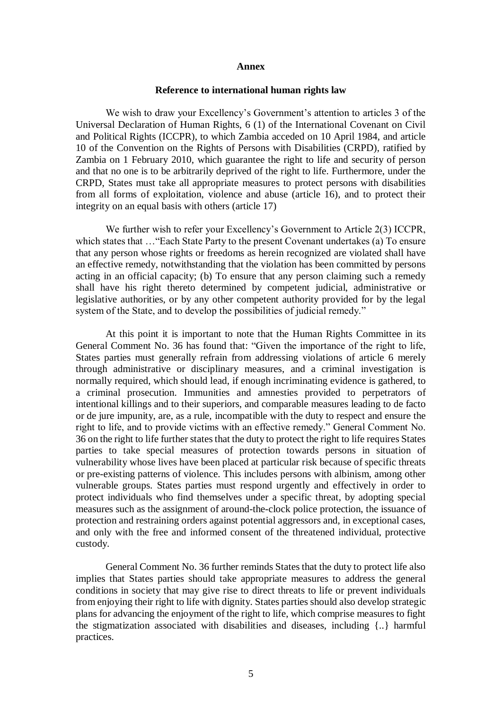## **Annex**

## **Reference to international human rights law**

We wish to draw your Excellency's Government's attention to articles 3 of the Universal Declaration of Human Rights, 6 (1) of the International Covenant on Civil and Political Rights (ICCPR), to which Zambia acceded on 10 April 1984, and article 10 of the Convention on the Rights of Persons with Disabilities (CRPD), ratified by Zambia on 1 February 2010, which guarantee the right to life and security of person and that no one is to be arbitrarily deprived of the right to life. Furthermore, under the CRPD, States must take all appropriate measures to protect persons with disabilities from all forms of exploitation, violence and abuse (article 16), and to protect their integrity on an equal basis with others (article 17)

We further wish to refer your Excellency's Government to Article 2(3) ICCPR, which states that …"Each State Party to the present Covenant undertakes (a) To ensure that any person whose rights or freedoms as herein recognized are violated shall have an effective remedy, notwithstanding that the violation has been committed by persons acting in an official capacity; (b) To ensure that any person claiming such a remedy shall have his right thereto determined by competent judicial, administrative or legislative authorities, or by any other competent authority provided for by the legal system of the State, and to develop the possibilities of judicial remedy."

At this point it is important to note that the Human Rights Committee in its General Comment No. 36 has found that: "Given the importance of the right to life, States parties must generally refrain from addressing violations of article 6 merely through administrative or disciplinary measures, and a criminal investigation is normally required, which should lead, if enough incriminating evidence is gathered, to a criminal prosecution. Immunities and amnesties provided to perpetrators of intentional killings and to their superiors, and comparable measures leading to de facto or de jure impunity, are, as a rule, incompatible with the duty to respect and ensure the right to life, and to provide victims with an effective remedy." General Comment No. 36 on the right to life further states that the duty to protect the right to life requires States parties to take special measures of protection towards persons in situation of vulnerability whose lives have been placed at particular risk because of specific threats or pre-existing patterns of violence. This includes persons with albinism, among other vulnerable groups. States parties must respond urgently and effectively in order to protect individuals who find themselves under a specific threat, by adopting special measures such as the assignment of around-the-clock police protection, the issuance of protection and restraining orders against potential aggressors and, in exceptional cases, and only with the free and informed consent of the threatened individual, protective custody.

General Comment No. 36 further reminds States that the duty to protect life also implies that States parties should take appropriate measures to address the general conditions in society that may give rise to direct threats to life or prevent individuals from enjoying their right to life with dignity. States parties should also develop strategic plans for advancing the enjoyment of the right to life, which comprise measures to fight the stigmatization associated with disabilities and diseases, including {..} harmful practices.